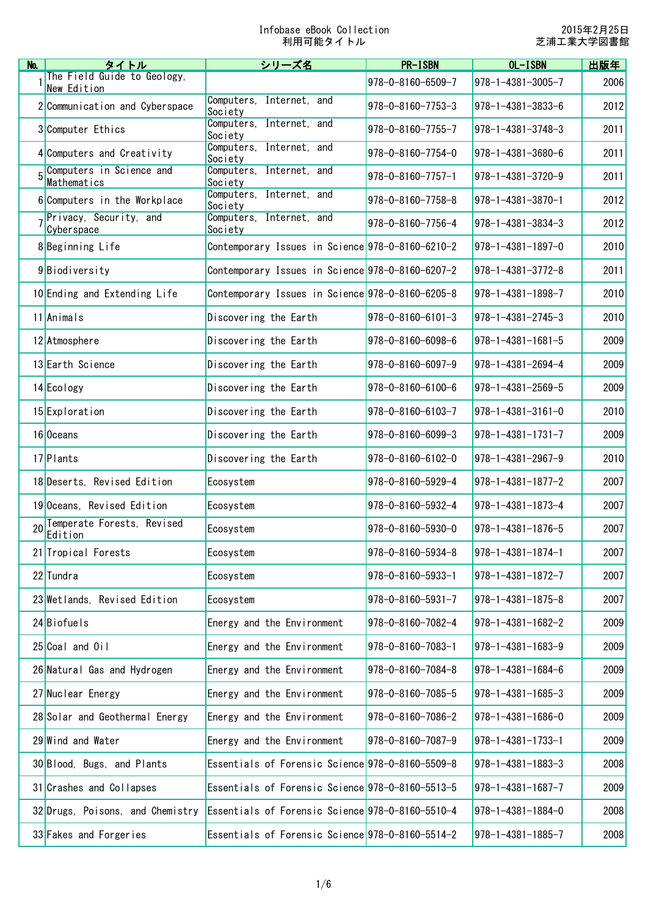| No.             | タイトル                                       | シリーズ名                                            | <b>PR-ISBN</b>              | $OL-I$ SBN                    | 出版年  |
|-----------------|--------------------------------------------|--------------------------------------------------|-----------------------------|-------------------------------|------|
|                 | The Field Guide to Geology,<br>New Edition |                                                  | $978 - 0 - 8160 - 6509 - 7$ | 978-1-4381-3005-7             | 2006 |
|                 | 2 Communication and Cyberspace             | Internet, and<br>Computers,<br>Society           | $978 - 0 - 8160 - 7753 - 3$ | $978 - 1 - 4381 - 3833 - 6$   | 2012 |
|                 | 3 Computer Ethics                          | Computers, Internet, and<br>Society              | $978 - 0 - 8160 - 7755 - 7$ | $978 - 1 - 4381 - 3748 - 3$   | 2011 |
|                 | 4 Computers and Creativity                 | Computers, Internet, and<br>Society              | 978-0-8160-7754-0           | 978-1-4381-3680-6             | 2011 |
| 5               | Computers in Science and<br>Mathematics    | Computers, Internet, and<br>Society              | $978 - 0 - 8160 - 7757 - 1$ | 978-1-4381-3720-9             | 2011 |
|                 | 6 Computers in the Workplace               | Computers, Internet, and<br>Society              | 978-0-8160-7758-8           | $978 - 1 - 4381 - 3870 - 1$   | 2012 |
|                 | Privacy, Security, and<br>Cyberspace       | Computers, Internet, and<br>Society              | 978-0-8160-7756-4           | $ 978 - 1 - 4381 - 3834 - 3 $ | 2012 |
|                 | 8 Beginning Life                           | Contemporary Issues in Science 978-0-8160-6210-2 |                             | $978 - 1 - 4381 - 1897 - 0$   | 2010 |
|                 | 9Biodiversity                              | Contemporary Issues in Science 978-0-8160-6207-2 |                             | 978-1-4381-3772-8             | 2011 |
|                 | 10 Ending and Extending Life               | Contemporary Issues in Science 978-0-8160-6205-8 |                             | $978 - 1 - 4381 - 1898 - 7$   | 2010 |
|                 | 11 Animals                                 | Discovering the Earth                            | $978 - 0 - 8160 - 6101 - 3$ | $978 - 1 - 4381 - 2745 - 3$   | 2010 |
|                 | 12 Atmosphere                              | Discovering the Earth                            | 978-0-8160-6098-6           | $978 - 1 - 4381 - 1681 - 5$   | 2009 |
|                 | 13 Earth Science                           | Discovering the Earth                            | $978 - 0 - 8160 - 6097 - 9$ | 978-1-4381-2694-4             | 2009 |
|                 | 14 Ecology                                 | Discovering the Earth                            | 978-0-8160-6100-6           | $978 - 1 - 4381 - 2569 - 5$   | 2009 |
|                 | 15 Exploration                             | Discovering the Earth                            | 978-0-8160-6103-7           | $978 - 1 - 4381 - 3161 - 0$   | 2010 |
|                 | 16 Oceans                                  | Discovering the Earth                            | 978-0-8160-6099-3           | $978 - 1 - 4381 - 1731 - 7$   | 2009 |
|                 | 17 Plants                                  | Discovering the Earth                            | 978-0-8160-6102-0           | $978 - 1 - 4381 - 2967 - 9$   | 2010 |
|                 | 18 Deserts, Revised Edition                | Ecosystem                                        | 978-0-8160-5929-4           | $978 - 1 - 4381 - 1877 - 2$   | 2007 |
|                 | 19 Oceans, Revised Edition                 | Ecosystem                                        | 978-0-8160-5932-4           | $978 - 1 - 4381 - 1873 - 4$   | 2007 |
| 20 <sup>1</sup> | Temperate Forests, Revised<br>Edition      | Ecosystem                                        | 978-0-8160-5930-0           | $ 978 - 1 - 4381 - 1876 - 5 $ | 2007 |
|                 | 21 Tropical Forests                        | Ecosystem                                        | $978 - 0 - 8160 - 5934 - 8$ | $978 - 1 - 4381 - 1874 - 1$   | 2007 |
|                 | 22 Tundra                                  | Ecosystem                                        | 978-0-8160-5933-1           | $978 - 1 - 4381 - 1872 - 7$   | 2007 |
|                 | 23 Wetlands, Revised Edition               | Ecosystem                                        | $978 - 0 - 8160 - 5931 - 7$ | $978 - 1 - 4381 - 1875 - 8$   | 2007 |
|                 | 24 Biofuels                                | Energy and the Environment                       | 978-0-8160-7082-4           | $978 - 1 - 4381 - 1682 - 2$   | 2009 |
|                 | 25 Coal and Oil                            | Energy and the Environment                       | 978-0-8160-7083-1           | $978 - 1 - 4381 - 1683 - 9$   | 2009 |
|                 | 26 Natural Gas and Hydrogen                | Energy and the Environment                       | 978-0-8160-7084-8           | $978 - 1 - 4381 - 1684 - 6$   | 2009 |
|                 | 27 Nuclear Energy                          | Energy and the Environment                       | 978-0-8160-7085-5           | $978 - 1 - 4381 - 1685 - 3$   | 2009 |
|                 | 28 Solar and Geothermal Energy             | Energy and the Environment                       | 978-0-8160-7086-2           | $978 - 1 - 4381 - 1686 - 0$   | 2009 |
|                 | 29 Wind and Water                          | Energy and the Environment                       | 978-0-8160-7087-9           | $978 - 1 - 4381 - 1733 - 1$   | 2009 |
|                 | 30 Blood, Bugs, and Plants                 | Essentials of Forensic Science 978-0-8160-5509-8 |                             | $978 - 1 - 4381 - 1883 - 3$   | 2008 |
|                 | 31 Crashes and Collapses                   | Essentials of Forensic Science 978-0-8160-5513-5 |                             | $978 - 1 - 4381 - 1687 - 7$   | 2009 |
|                 | 32 Drugs, Poisons, and Chemistry           | Essentials of Forensic Science 978-0-8160-5510-4 |                             | 978-1-4381-1884-0             | 2008 |
|                 | 33 Fakes and Forgeries                     | Essentials of Forensic Science 978-0-8160-5514-2 |                             | $978 - 1 - 4381 - 1885 - 7$   | 2008 |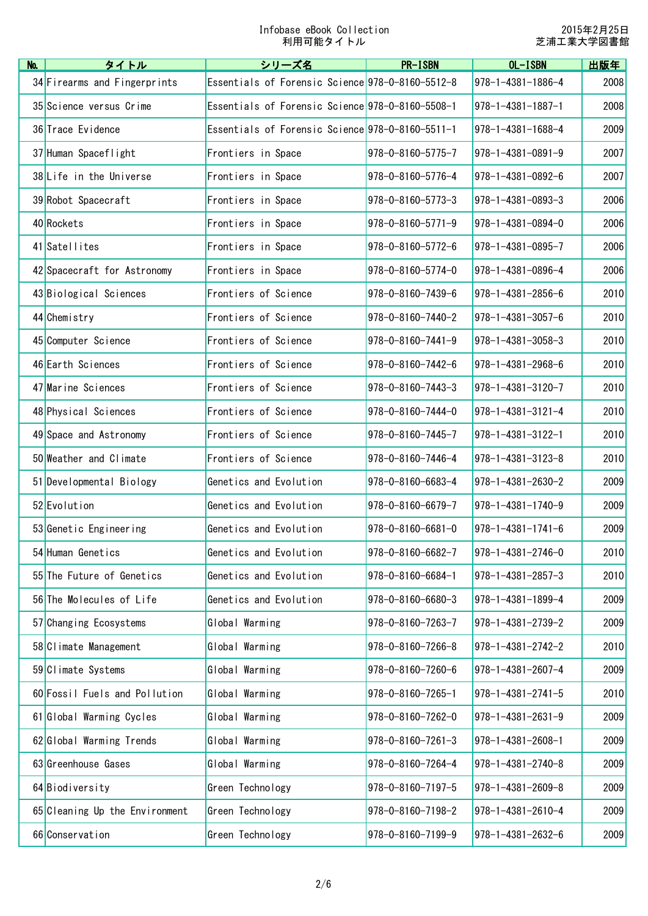| No. | タイトル                           | シリーズ名                                            | <b>PR-ISBN</b>              | OL-ISBN                       | 出版年  |
|-----|--------------------------------|--------------------------------------------------|-----------------------------|-------------------------------|------|
|     | 34 Firearms and Fingerprints   | Essentials of Forensic Science 978-0-8160-5512-8 |                             | $978 - 1 - 4381 - 1886 - 4$   | 2008 |
|     | 35 Science versus Crime        | Essentials of Forensic Science 978-0-8160-5508-1 |                             | $978 - 1 - 4381 - 1887 - 1$   | 2008 |
|     | 36 Trace Evidence              | Essentials of Forensic Science 978-0-8160-5511-1 |                             | $ 978 - 1 - 4381 - 1688 - 4 $ | 2009 |
|     | 37 Human Spaceflight           | Frontiers in Space                               | 978-0-8160-5775-7           | $ 978 - 1 - 4381 - 0891 - 9$  | 2007 |
|     | 38 Life in the Universe        | Frontiers in Space                               | 978-0-8160-5776-4           | $978 - 1 - 4381 - 0892 - 6$   | 2007 |
|     | 39 Robot Spacecraft            | Frontiers in Space                               | $978 - 0 - 8160 - 5773 - 3$ | $978 - 1 - 4381 - 0893 - 3$   | 2006 |
|     | 40 Rockets                     | Frontiers in Space                               | $978 - 0 - 8160 - 5771 - 9$ | $ 978 - 1 - 4381 - 0894 - 0 $ | 2006 |
|     | 41 Satellites                  | Frontiers in Space                               | $978 - 0 - 8160 - 5772 - 6$ | $ 978 - 1 - 4381 - 0895 - 7 $ | 2006 |
|     | 42 Spacecraft for Astronomy    | Frontiers in Space                               | 978-0-8160-5774-0           | 978-1-4381-0896-4             | 2006 |
|     | 43 Biological Sciences         | Frontiers of Science                             | 978-0-8160-7439-6           | $978 - 1 - 4381 - 2856 - 6$   | 2010 |
|     | 44 Chemistry                   | Frontiers of Science                             | 978-0-8160-7440-2           | $ 978 - 1 - 4381 - 3057 - 6 $ | 2010 |
|     | 45 Computer Science            | Frontiers of Science                             | $978 - 0 - 8160 - 7441 - 9$ | $ 978 - 1 - 4381 - 3058 - 3 $ | 2010 |
|     | 46 Earth Sciences              | Frontiers of Science                             | $978 - 0 - 8160 - 7442 - 6$ | $978 - 1 - 4381 - 2968 - 6$   | 2010 |
|     | 47 Marine Sciences             | Frontiers of Science                             | $978 - 0 - 8160 - 7443 - 3$ | $978 - 1 - 4381 - 3120 - 7$   | 2010 |
|     | 48 Physical Sciences           | Frontiers of Science                             | 978-0-8160-7444-0           | $ 978 - 1 - 4381 - 3121 - 4 $ | 2010 |
|     | 49 Space and Astronomy         | Frontiers of Science                             | 978-0-8160-7445-7           | $ 978 - 1 - 4381 - 3122 - 1 $ | 2010 |
|     | 50 Weather and Climate         | Frontiers of Science                             | 978-0-8160-7446-4           | $978 - 1 - 4381 - 3123 - 8$   | 2010 |
|     | 51 Developmental Biology       | Genetics and Evolution                           | 978-0-8160-6683-4           | $978 - 1 - 4381 - 2630 - 2$   | 2009 |
|     | 52 Evolution                   | Genetics and Evolution                           | 978-0-8160-6679-7           | $ 978 - 1 - 4381 - 1740 - 9$  | 2009 |
|     | 53 Genetic Engineering         | Genetics and Evolution                           | $978 - 0 - 8160 - 6681 - 0$ | $ 978 - 1 - 4381 - 1741 - 6 $ | 2009 |
|     | 54 Human Genetics              | Genetics and Evolution                           | 978-0-8160-6682-7           | 978-1-4381-2746-0             | 2010 |
|     | 55 The Future of Genetics      | Genetics and Evolution                           | $978 - 0 - 8160 - 6684 - 1$ | $978 - 1 - 4381 - 2857 - 3$   | 2010 |
|     | 56 The Molecules of Life       | Genetics and Evolution                           | 978-0-8160-6680-3           | $978 - 1 - 4381 - 1899 - 4$   | 2009 |
|     | 57 Changing Ecosystems         | Global Warming                                   | 978-0-8160-7263-7           | $978 - 1 - 4381 - 2739 - 2$   | 2009 |
|     | 58 Climate Management          | Global Warming                                   | $978 - 0 - 8160 - 7266 - 8$ | $978 - 1 - 4381 - 2742 - 2$   | 2010 |
|     | 59 Climate Systems             | Global Warming                                   | 978-0-8160-7260-6           | $978 - 1 - 4381 - 2607 - 4$   | 2009 |
|     | 60 Fossil Fuels and Pollution  | Global Warming                                   | 978-0-8160-7265-1           | $ 978 - 1 - 4381 - 2741 - 5 $ | 2010 |
|     | 61 Global Warming Cycles       | Global Warming                                   | 978-0-8160-7262-0           | $ 978 - 1 - 4381 - 2631 - 9 $ | 2009 |
|     | 62 Global Warming Trends       | Global Warming                                   | $978 - 0 - 8160 - 7261 - 3$ | 978-1-4381-2608-1             | 2009 |
|     | 63 Greenhouse Gases            | Global Warming                                   | 978-0-8160-7264-4           | $978 - 1 - 4381 - 2740 - 8$   | 2009 |
|     | 64 Biodiversity                | Green Technology                                 | 978-0-8160-7197-5           | $ 978 - 1 - 4381 - 2609 - 8 $ | 2009 |
|     | 65 Cleaning Up the Environment | Green Technology                                 | 978-0-8160-7198-2           | $978 - 1 - 4381 - 2610 - 4$   | 2009 |
|     | 66 Conservation                | Green Technology                                 | 978-0-8160-7199-9           | $978 - 1 - 4381 - 2632 - 6$   | 2009 |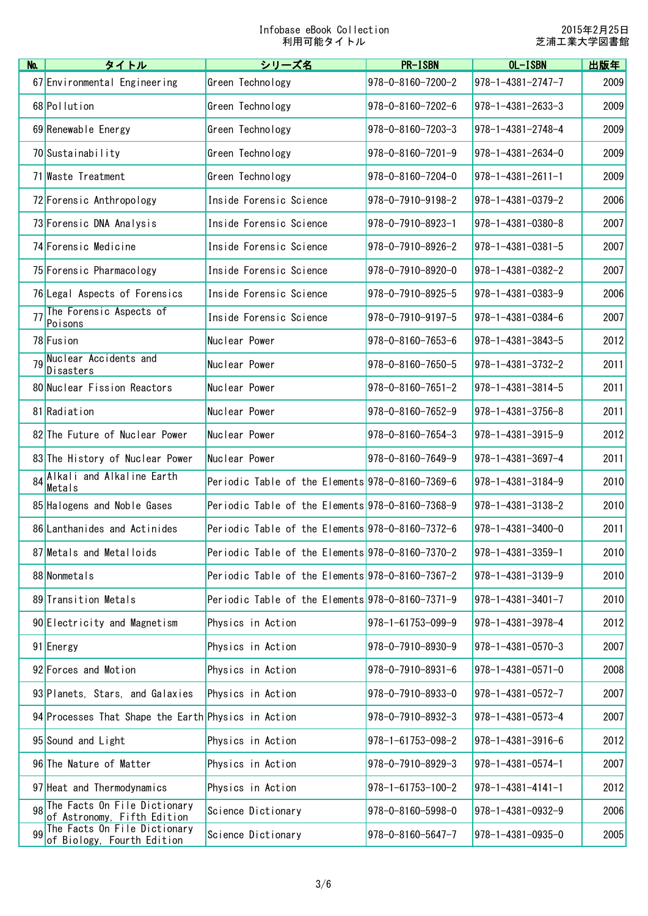2015年2月25日 芝浦工業大学図書館

| No. | タイトル                                                        | シリーズ名                                            | <b>PR-ISBN</b>              | OL-ISBN                     | 出版年  |
|-----|-------------------------------------------------------------|--------------------------------------------------|-----------------------------|-----------------------------|------|
|     | 67 Environmental Engineering                                | Green Technology                                 | 978-0-8160-7200-2           | $978 - 1 - 4381 - 2747 - 7$ | 2009 |
|     | 68 Pollution                                                | Green Technology                                 | $978 - 0 - 8160 - 7202 - 6$ | $978 - 1 - 4381 - 2633 - 3$ | 2009 |
|     | 69 Renewable Energy                                         | Green Technology                                 | 978-0-8160-7203-3           | $978 - 1 - 4381 - 2748 - 4$ | 2009 |
|     | 70 Sustainability                                           | Green Technology                                 | $978 - 0 - 8160 - 7201 - 9$ | 978-1-4381-2634-0           | 2009 |
|     | 71 Waste Treatment                                          | Green Technology                                 | 978-0-8160-7204-0           | $978 - 1 - 4381 - 2611 - 1$ | 2009 |
|     | 72 Forensic Anthropology                                    | Inside Forensic Science                          | 978-0-7910-9198-2           | $978 - 1 - 4381 - 0379 - 2$ | 2006 |
|     | 73 Forensic DNA Analysis                                    | Inside Forensic Science                          | 978-0-7910-8923-1           | $978 - 1 - 4381 - 0380 - 8$ | 2007 |
|     | 74 Forensic Medicine                                        | Inside Forensic Science                          | 978-0-7910-8926-2           | $978 - 1 - 4381 - 0381 - 5$ | 2007 |
|     | 75 Forensic Pharmacology                                    | Inside Forensic Science                          | 978-0-7910-8920-0           | $978 - 1 - 4381 - 0382 - 2$ | 2007 |
|     | 76 Legal Aspects of Forensics                               | Inside Forensic Science                          | 978-0-7910-8925-5           | $978 - 1 - 4381 - 0383 - 9$ | 2006 |
| 77  | The Forensic Aspects of<br>Poisons                          | Inside Forensic Science                          | 978-0-7910-9197-5           | $978 - 1 - 4381 - 0384 - 6$ | 2007 |
|     | 78 Fusion                                                   | Nuclear Power                                    | 978-0-8160-7653-6           | 978-1-4381-3843-5           | 2012 |
| 79  | Nuclear Accidents and<br>Disasters                          | Nuclear Power                                    | 978-0-8160-7650-5           | $978 - 1 - 4381 - 3732 - 2$ | 2011 |
|     | 80 Nuclear Fission Reactors                                 | Nuclear Power                                    | $978 - 0 - 8160 - 7651 - 2$ | $978 - 1 - 4381 - 3814 - 5$ | 2011 |
|     | 81 Radiation                                                | Nuclear Power                                    | 978-0-8160-7652-9           | $978 - 1 - 4381 - 3756 - 8$ | 2011 |
|     | 82 The Future of Nuclear Power                              | Nuclear Power                                    | 978-0-8160-7654-3           | $978 - 1 - 4381 - 3915 - 9$ | 2012 |
|     | 83 The History of Nuclear Power                             | Nuclear Power                                    | $978 - 0 - 8160 - 7649 - 9$ | $978 - 1 - 4381 - 3697 - 4$ | 2011 |
|     | 84 Alkali and Alkaline Earth<br>Metals                      | Periodic Table of the Elements 978-0-8160-7369-6 |                             | 978-1-4381-3184-9           | 2010 |
|     | 85 Halogens and Noble Gases                                 | Periodic Table of the Elements 978-0-8160-7368-9 |                             | $978 - 1 - 4381 - 3138 - 2$ | 2010 |
|     | 86 Lanthanides and Actinides                                | Periodic Table of the Elements 978-0-8160-7372-6 |                             | 978-1-4381-3400-0           | 2011 |
|     | 87 Metals and Metalloids                                    | Periodic Table of the Elements 978-0-8160-7370-2 |                             | $978 - 1 - 4381 - 3359 - 1$ | 2010 |
|     | 88 Nonmetals                                                | Periodic Table of the Elements 978-0-8160-7367-2 |                             | $978 - 1 - 4381 - 3139 - 9$ | 2010 |
|     | 89 Transition Metals                                        | Periodic Table of the Elements 978-0-8160-7371-9 |                             | $978 - 1 - 4381 - 3401 - 7$ | 2010 |
|     | 90 Electricity and Magnetism                                | Physics in Action                                | $978 - 1 - 61753 - 099 - 9$ | 978-1-4381-3978-4           | 2012 |
|     | 91 Energy                                                   | Physics in Action                                | 978-0-7910-8930-9           | $978 - 1 - 4381 - 0570 - 3$ | 2007 |
|     | 92 Forces and Motion                                        | Physics in Action                                | $978 - 0 - 7910 - 8931 - 6$ | $978 - 1 - 4381 - 0571 - 0$ | 2008 |
|     | 93 Planets, Stars, and Galaxies                             | Physics in Action                                | 978-0-7910-8933-0           | $978 - 1 - 4381 - 0572 - 7$ | 2007 |
|     | 94 Processes That Shape the Earth Physics in Action         |                                                  | 978-0-7910-8932-3           | 978-1-4381-0573-4           | 2007 |
|     | 95 Sound and Light                                          | Physics in Action                                | 978-1-61753-098-2           | $978 - 1 - 4381 - 3916 - 6$ | 2012 |
|     | 96 The Nature of Matter                                     | Physics in Action                                | 978-0-7910-8929-3           | $978 - 1 - 4381 - 0574 - 1$ | 2007 |
|     | 97 Heat and Thermodynamics                                  | Physics in Action                                | $978 - 1 - 61753 - 100 - 2$ | $978 - 1 - 4381 - 4141 - 1$ | 2012 |
| 98  | The Facts On File Dictionary<br>of Astronomy, Fifth Edition | Science Dictionary                               | 978-0-8160-5998-0           | $978 - 1 - 4381 - 0932 - 9$ | 2006 |
| 99  | The Facts On File Dictionary<br>of Biology, Fourth Edition  | Science Dictionary                               | 978-0-8160-5647-7           | 978-1-4381-0935-0           | 2005 |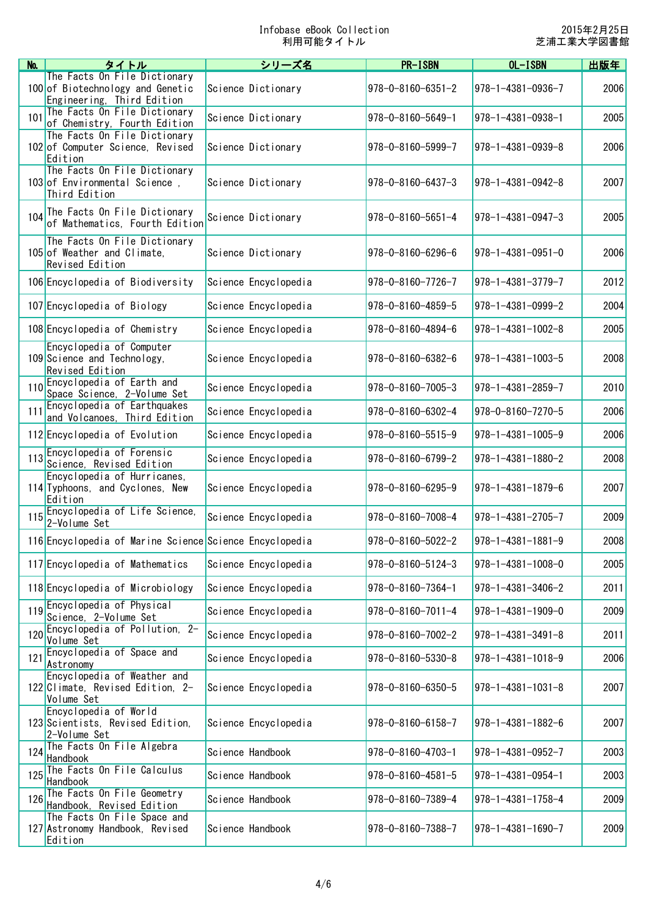| No. | タイトル                                                                                           | シリーズ名                | <b>PR-ISBN</b>              | OL-ISBN                     | 出版年  |
|-----|------------------------------------------------------------------------------------------------|----------------------|-----------------------------|-----------------------------|------|
|     | The Facts On File Dictionary<br>100 of Biotechnology and Genetic<br>Engineering, Third Edition | Science Dictionary   | $978 - 0 - 8160 - 6351 - 2$ | 978-1-4381-0936-7           | 2006 |
| 101 | The Facts On File Dictionary<br>of Chemistry, Fourth Edition                                   | Science Dictionary   | 978-0-8160-5649-1           | 978-1-4381-0938-1           | 2005 |
|     | The Facts On File Dictionary<br>102 of Computer Science, Revised<br>Edition                    | Science Dictionary   | 978-0-8160-5999-7           | $978 - 1 - 4381 - 0939 - 8$ | 2006 |
|     | The Facts On File Dictionary<br>103 of Environmental Science,<br>Third Edition                 | Science Dictionary   | $978 - 0 - 8160 - 6437 - 3$ | $978 - 1 - 4381 - 0942 - 8$ | 2007 |
|     | 104 The Facts On File Dictionary<br>of Mathematics, Fourth Edition                             | Science Dictionary   | $978 - 0 - 8160 - 5651 - 4$ | $978 - 1 - 4381 - 0947 - 3$ | 2005 |
|     | The Facts On File Dictionary<br>105 of Weather and Climate,<br>Revised Edition                 | Science Dictionary   | $978 - 0 - 8160 - 6296 - 6$ | $978 - 1 - 4381 - 0951 - 0$ | 2006 |
|     | 106 Encyclopedia of Biodiversity                                                               | Science Encyclopedia | 978-0-8160-7726-7           | 978-1-4381-3779-7           | 2012 |
|     | 107 Encyclopedia of Biology                                                                    | Science Encyclopedia | 978-0-8160-4859-5           | 978-1-4381-0999-2           | 2004 |
|     | 108 Encyclopedia of Chemistry                                                                  | Science Encyclopedia | $978 - 0 - 8160 - 4894 - 6$ | $978 - 1 - 4381 - 1002 - 8$ | 2005 |
|     | Encyclopedia of Computer<br>109 Science and Technology.<br>Revised Edition                     | Science Encyclopedia | $978 - 0 - 8160 - 6382 - 6$ | $978 - 1 - 4381 - 1003 - 5$ | 2008 |
|     | 110 Encyclopedia of Earth and<br>Space Science, 2-Volume Set                                   | Science Encyclopedia | $978 - 0 - 8160 - 7005 - 3$ | $978 - 1 - 4381 - 2859 - 7$ | 2010 |
| 111 | Encyclopedia of Earthquakes<br>and Volcanoes, Third Edition                                    | Science Encyclopedia | 978-0-8160-6302-4           | 978-0-8160-7270-5           | 2006 |
|     | 112 Encyclopedia of Evolution                                                                  | Science Encyclopedia | $978 - 0 - 8160 - 5515 - 9$ | $978 - 1 - 4381 - 1005 - 9$ | 2006 |
|     | 113 Encyclopedia of Forensic<br>Science, Revised Edition                                       | Science Encyclopedia | 978-0-8160-6799-2           | $978 - 1 - 4381 - 1880 - 2$ | 2008 |
|     | Encyclopedia of Hurricanes,<br>114 Typhoons, and Cyclones, New<br>Edition                      | Science Encyclopedia | $978 - 0 - 8160 - 6295 - 9$ | $978 - 1 - 4381 - 1879 - 6$ | 2007 |
|     | 115 Encyclopedia of Life Science,<br>2-Volume Set                                              | Science Encyclopedia | 978-0-8160-7008-4           | $978 - 1 - 4381 - 2705 - 7$ | 2009 |
|     | 116 Encyclopedia of Marine Science Science Encyclopedia                                        |                      | $978 - 0 - 8160 - 5022 - 2$ | $978 - 1 - 4381 - 1881 - 9$ | 2008 |
|     | 117 Encyclopedia of Mathematics                                                                | Science Encyclopedia | 978-0-8160-5124-3           | $978 - 1 - 4381 - 1008 - 0$ | 2005 |
|     | 118 Encyclopedia of Microbiology                                                               | Science Encyclopedia | 978-0-8160-7364-1           | 978-1-4381-3406-2           | 2011 |
| 119 | Encyclopedia of Physical<br>Science, 2-Volume Set                                              | Science Encyclopedia | $978 - 0 - 8160 - 7011 - 4$ | $978 - 1 - 4381 - 1909 - 0$ | 2009 |
|     | 120 Encyclopedia of Pollution, 2-<br>Volume Set                                                | Science Encyclopedia | 978-0-8160-7002-2           | $978 - 1 - 4381 - 3491 - 8$ | 2011 |
|     | 121 Encyclopedia of Space and<br>Astronomy                                                     | Science Encyclopedia | 978-0-8160-5330-8           | $978 - 1 - 4381 - 1018 - 9$ | 2006 |
|     | Encyclopedia of Weather and<br>122 Climate, Revised Edition, 2-<br>Volume Set                  | Science Encyclopedia | 978-0-8160-6350-5           | $978 - 1 - 4381 - 1031 - 8$ | 2007 |
|     | Encyclopedia of World<br>123 Scientists, Revised Edition,<br>2-Volume Set                      | Science Encyclopedia | $978 - 0 - 8160 - 6158 - 7$ | $978 - 1 - 4381 - 1882 - 6$ | 2007 |
| 124 | The Facts On File Algebra<br>Handbook                                                          | Science Handbook     | 978-0-8160-4703-1           | 978-1-4381-0952-7           | 2003 |
| 125 | The Facts On File Calculus<br>Handbook                                                         | Science Handbook     | $978 - 0 - 8160 - 4581 - 5$ | $978 - 1 - 4381 - 0954 - 1$ | 2003 |
| 126 | The Facts On File Geometry<br>Handbook, Revised Edition                                        | Science Handbook     | 978-0-8160-7389-4           | $978 - 1 - 4381 - 1758 - 4$ | 2009 |
|     | The Facts On File Space and<br>127 Astronomy Handbook, Revised<br>Edition                      | Science Handbook     | 978-0-8160-7388-7           | $978 - 1 - 4381 - 1690 - 7$ | 2009 |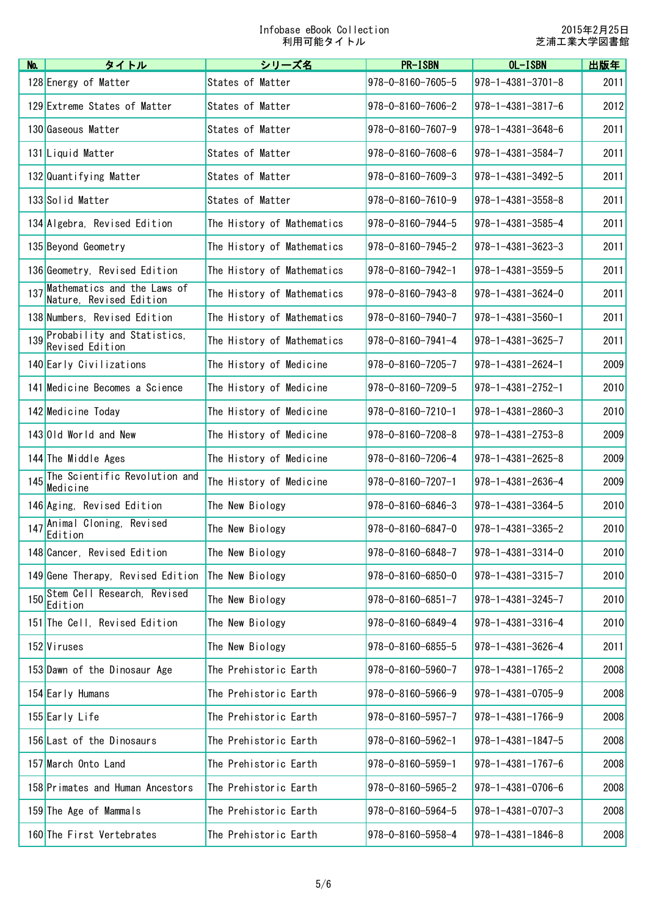2015年2月25日 芝浦工業大学図書館

| No. | タイトル                                                   | シリーズ名                      | <b>PR-ISBN</b>              | OL-ISBN                       | 出版年  |
|-----|--------------------------------------------------------|----------------------------|-----------------------------|-------------------------------|------|
|     | 128 Energy of Matter                                   | States of Matter           | $978 - 0 - 8160 - 7605 - 5$ | $978 - 1 - 4381 - 3701 - 8$   | 2011 |
|     | 129 Extreme States of Matter                           | States of Matter           | 978-0-8160-7606-2           | $978 - 1 - 4381 - 3817 - 6$   | 2012 |
|     | 130 Gaseous Matter                                     | States of Matter           | $978 - 0 - 8160 - 7607 - 9$ | $ 978 - 1 - 4381 - 3648 - 6$  | 2011 |
|     | 131 Liquid Matter                                      | States of Matter           | 978-0-8160-7608-6           | 978-1-4381-3584-7             | 2011 |
|     | 132 Quantifying Matter                                 | States of Matter           | $978 - 0 - 8160 - 7609 - 3$ | 978-1-4381-3492-5             | 2011 |
|     | 133 Solid Matter                                       | States of Matter           | $978 - 0 - 8160 - 7610 - 9$ | $978 - 1 - 4381 - 3558 - 8$   | 2011 |
|     | 134 Algebra, Revised Edition                           | The History of Mathematics | 978-0-8160-7944-5           | $ 978 - 1 - 4381 - 3585 - 4 $ | 2011 |
|     | 135 Beyond Geometry                                    | The History of Mathematics | $978 - 0 - 8160 - 7945 - 2$ | $ 978 - 1 - 4381 - 3623 - 3 $ | 2011 |
|     | 136 Geometry, Revised Edition                          | The History of Mathematics | 978-0-8160-7942-1           | 978-1-4381-3559-5             | 2011 |
| 137 | Mathematics and the Laws of<br>Nature, Revised Edition | The History of Mathematics | $978 - 0 - 8160 - 7943 - 8$ | $978 - 1 - 4381 - 3624 - 0$   | 2011 |
|     | 138 Numbers, Revised Edition                           | The History of Mathematics | 978-0-8160-7940-7           | $ 978 - 1 - 4381 - 3560 - 1 $ | 2011 |
|     | 139 Probability and Statistics,<br>Revised Edition     | The History of Mathematics | $978 - 0 - 8160 - 7941 - 4$ | $978 - 1 - 4381 - 3625 - 7$   | 2011 |
|     | 140 Early Civilizations                                | The History of Medicine    | $978 - 0 - 8160 - 7205 - 7$ | $978 - 1 - 4381 - 2624 - 1$   | 2009 |
|     | 141 Medicine Becomes a Science                         | The History of Medicine    | 978-0-8160-7209-5           | $978 - 1 - 4381 - 2752 - 1$   | 2010 |
|     | 142 Medicine Today                                     | The History of Medicine    | $978 - 0 - 8160 - 7210 - 1$ | $ 978 - 1 - 4381 - 2860 - 3 $ | 2010 |
|     | 143 Old World and New                                  | The History of Medicine    | 978-0-8160-7208-8           | $978 - 1 - 4381 - 2753 - 8$   | 2009 |
|     | 144 The Middle Ages                                    | The History of Medicine    | 978-0-8160-7206-4           | $978 - 1 - 4381 - 2625 - 8$   | 2009 |
|     | 145 The Scientific Revolution and<br>Medicine          | The History of Medicine    | $978 - 0 - 8160 - 7207 - 1$ | $ 978 - 1 - 4381 - 2636 - 4 $ | 2009 |
|     | 146 Aging, Revised Edition                             | The New Biology            | 978-0-8160-6846-3           | $ 978 - 1 - 4381 - 3364 - 5 $ | 2010 |
| 147 | Animal Cloning, Revised<br>Edition                     | The New Biology            | 978-0-8160-6847-0           | $ 978 - 1 - 4381 - 3365 - 2 $ | 2010 |
|     | 148 Cancer, Revised Edition                            | The New Biology            | 978-0-8160-6848-7           | $978 - 1 - 4381 - 3314 - 0$   | 2010 |
|     | 149 Gene Therapy, Revised Edition                      | The New Biology            | $978 - 0 - 8160 - 6850 - 0$ | $978 - 1 - 4381 - 3315 - 7$   | 2010 |
|     | 150 Stem Cell Research, Revised<br>Edition             | The New Biology            | $978 - 0 - 8160 - 6851 - 7$ | $ 978 - 1 - 4381 - 3245 - 7 $ | 2010 |
|     | 151 The Cell, Revised Edition                          | The New Biology            | 978-0-8160-6849-4           | 978-1-4381-3316-4             | 2010 |
|     | 152 Viruses                                            | The New Biology            | 978-0-8160-6855-5           | $978 - 1 - 4381 - 3626 - 4$   | 2011 |
|     | 153 Dawn of the Dinosaur Age                           | The Prehistoric Earth      | 978-0-8160-5960-7           | $978 - 1 - 4381 - 1765 - 2$   | 2008 |
|     | 154 Early Humans                                       | The Prehistoric Earth      | 978-0-8160-5966-9           | $ 978 - 1 - 4381 - 0705 - 9$  | 2008 |
|     | 155 Early Life                                         | The Prehistoric Earth      | $978 - 0 - 8160 - 5957 - 7$ | $978 - 1 - 4381 - 1766 - 9$   | 2008 |
|     | 156 Last of the Dinosaurs                              | The Prehistoric Earth      | 978-0-8160-5962-1           | $978 - 1 - 4381 - 1847 - 5$   | 2008 |
|     | 157 March Onto Land                                    | The Prehistoric Earth      | 978-0-8160-5959-1           | $978 - 1 - 4381 - 1767 - 6$   | 2008 |
|     | 158 Primates and Human Ancestors                       | The Prehistoric Earth      | 978-0-8160-5965-2           | $ 978 - 1 - 4381 - 0706 - 6$  | 2008 |
|     | 159 The Age of Mammals                                 | The Prehistoric Earth      | 978-0-8160-5964-5           | $978 - 1 - 4381 - 0707 - 3$   | 2008 |
|     | 160 The First Vertebrates                              | The Prehistoric Earth      | 978-0-8160-5958-4           | $978 - 1 - 4381 - 1846 - 8$   | 2008 |